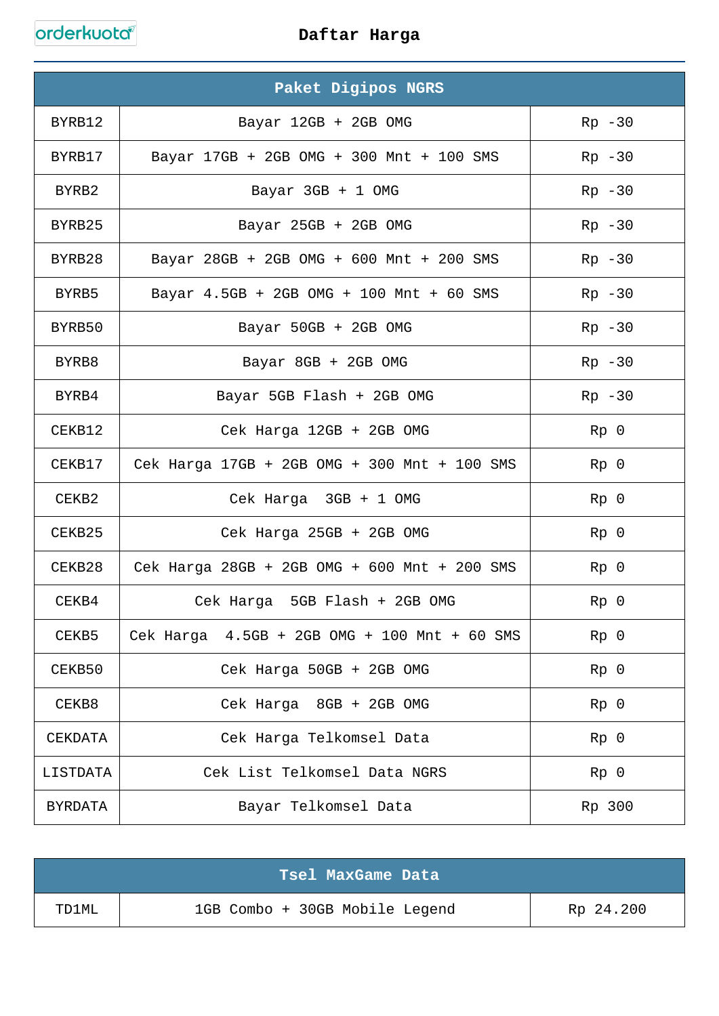orderkuota

|          | Paket Digipos NGRS                           |                 |
|----------|----------------------------------------------|-----------------|
| BYRB12   | Bayar 12GB + 2GB OMG                         | $Rp - 30$       |
| BYRB17   | Bayar 17GB + 2GB OMG + 300 Mnt + 100 SMS     | $Rp - 30$       |
| BYRB2    | Bayar 3GB + 1 OMG                            | $Rp - 30$       |
| BYRB25   | Bayar 25GB + 2GB OMG                         | $Rp - 30$       |
| BYRB28   | Bayar 28GB + 2GB OMG + 600 Mnt + 200 SMS     | $Rp - 30$       |
| BYRB5    | Bayar 4.5GB + 2GB OMG + 100 Mnt + 60 SMS     | $Rp - 30$       |
| BYRB50   | Bayar 50GB + 2GB OMG                         | $Rp - 30$       |
| BYRB8    | Bayar 8GB + 2GB OMG                          | $Rp - 30$       |
| BYRB4    | Bayar 5GB Flash + 2GB OMG                    | $Rp - 30$       |
| CEKB12   | Cek Harga 12GB + 2GB OMG                     | Rp <sub>0</sub> |
| CEKB17   | Cek Harga 17GB + 2GB OMG + 300 Mnt + 100 SMS | $Rp$ 0          |
| CEKB2    | Cek Harga 3GB + 1 OMG                        | $Rp$ 0          |
| CEKB25   | Cek Harga 25GB + 2GB OMG                     | $Rp$ 0          |
| CEKB28   | Cek Harga 28GB + 2GB OMG + 600 Mnt + 200 SMS | $Rp$ 0          |
| CEKB4    | 5GB Flash + 2GB OMG<br>Cek Harga             | $Rp$ 0          |
| CEKB5    | Cek Harga 4.5GB + 2GB OMG + 100 Mnt + 60 SMS | $Rp$ 0          |
| CEKB50   | Cek Harga 50GB + 2GB OMG                     | $Rp$ 0          |
| CEKB8    | Cek Harga 8GB + 2GB OMG                      | Rp <sub>0</sub> |
| CEKDATA  | Cek Harga Telkomsel Data                     | $Rp$ 0          |
| LISTDATA | Cek List Telkomsel Data NGRS                 | $Rp$ 0          |
| BYRDATA  | Bayar Telkomsel Data                         | Rp 300          |

|       | Tsel MaxGame Data              |           |
|-------|--------------------------------|-----------|
| TD1ML | 1GB Combo + 30GB Mobile Legend | Rp 24.200 |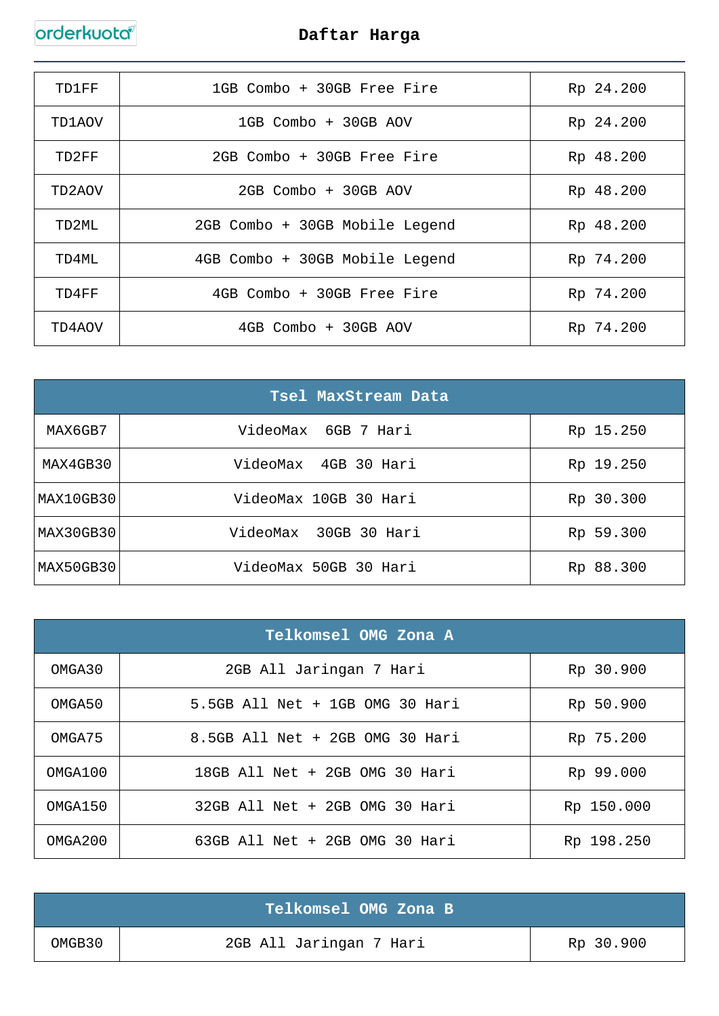# orderkuota

| TD1FF  | 1GB Combo + 30GB Free Fire     | Rp 24.200 |
|--------|--------------------------------|-----------|
| TD1AOV | 1GB Combo + 30GB AOV           | Rp 24.200 |
| TD2FF  | 2GB Combo + 30GB Free Fire     | Rp 48.200 |
| TD2AOV | 2GB Combo + 30GB AOV           | Rp 48.200 |
| TD2ML  | 2GB Combo + 30GB Mobile Legend | Rp 48.200 |
| TD4ML  | 4GB Combo + 30GB Mobile Legend | Rp 74.200 |
| TD4FF  | 4GB Combo + 30GB Free Fire     | Rp 74.200 |
| TD4A0V | 4GB Combo + 30GB AOV           | Rp 74.200 |

|           | Tsel MaxStream Data   |           |
|-----------|-----------------------|-----------|
| MAX6GB7   | VideoMax 6GB 7 Hari   | Rp 15.250 |
| MAX4GB30  | VideoMax 4GB 30 Hari  | Rp 19.250 |
| MAX10GB30 | VideoMax 10GB 30 Hari | Rp 30.300 |
| MAX30GB30 | VideoMax 30GB 30 Hari | Rp 59.300 |
| MAX50GB30 | VideoMax 50GB 30 Hari | Rp 88.300 |

|         | Telkomsel OMG Zona A            |            |
|---------|---------------------------------|------------|
| OMGA30  | 2GB All Jaringan 7 Hari         | Rp 30.900  |
| OMGA50  | 5.5GB All Net + 1GB OMG 30 Hari | Rp 50.900  |
| OMGA75  | 8.5GB All Net + 2GB OMG 30 Hari | Rp 75.200  |
| OMGA100 | 18GB All Net + 2GB OMG 30 Hari  | Rp 99.000  |
| OMGA150 | 32GB All Net + 2GB OMG 30 Hari  | Rp 150.000 |
| OMGA200 | 63GB All Net + 2GB OMG 30 Hari  | Rp 198.250 |

|        | Telkomsel OMG Zona B    |           |
|--------|-------------------------|-----------|
| OMGB30 | 2GB All Jaringan 7 Hari | Rp 30.900 |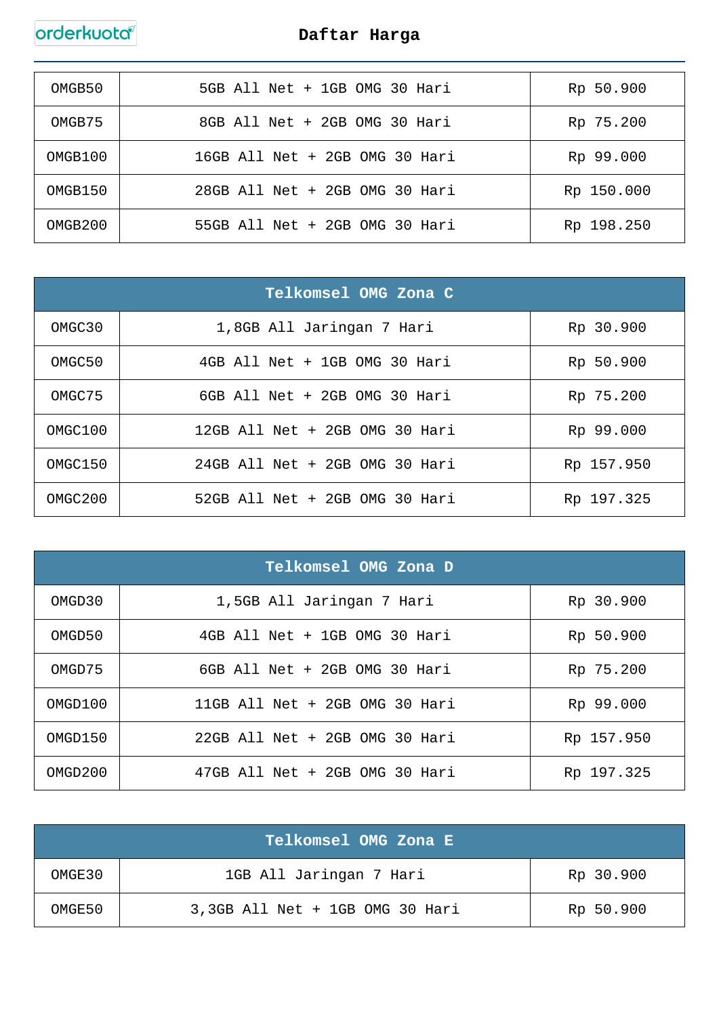| OMGB50  | 5GB All Net + 1GB OMG 30 Hari  | Rp 50.900  |
|---------|--------------------------------|------------|
| OMGB75  | 8GB All Net + 2GB OMG 30 Hari  | Rp 75.200  |
| OMGB100 | 16GB All Net + 2GB OMG 30 Hari | Rp 99.000  |
| OMGB150 | 28GB All Net + 2GB OMG 30 Hari | Rp 150.000 |
| OMGB200 | 55GB All Net + 2GB OMG 30 Hari | Rp 198.250 |

|         | Telkomsel OMG Zona C           |            |
|---------|--------------------------------|------------|
| OMGC30  | 1,8GB All Jaringan 7 Hari      | Rp 30.900  |
| OMGC50  | 4GB All Net + 1GB OMG 30 Hari  | Rp 50.900  |
| OMGC75  | 6GB All Net + 2GB OMG 30 Hari  | Rp 75.200  |
| OMGC100 | 12GB All Net + 2GB OMG 30 Hari | Rp 99.000  |
| OMGC150 | 24GB All Net + 2GB OMG 30 Hari | Rp 157.950 |
| OMGC200 | 52GB All Net + 2GB OMG 30 Hari | Rp 197.325 |

|         | Telkomsel OMG Zona D           |            |
|---------|--------------------------------|------------|
| OMGD30  | 1,5GB All Jaringan 7 Hari      | Rp 30.900  |
| OMGD50  | 4GB All Net + 1GB OMG 30 Hari  | Rp 50.900  |
| OMGD75  | 6GB All Net + 2GB OMG 30 Hari  | Rp 75.200  |
| OMGD100 | 11GB All Net + 2GB OMG 30 Hari | Rp 99.000  |
| OMGD150 | 22GB All Net + 2GB OMG 30 Hari | Rp 157.950 |
| OMGD200 | 47GB All Net + 2GB OMG 30 Hari | Rp 197.325 |

|        | Telkomsel OMG Zona E            |           |
|--------|---------------------------------|-----------|
| OMGE30 | 1GB All Jaringan 7 Hari         | Rp 30.900 |
| OMGE50 | 3,3GB All Net + 1GB OMG 30 Hari | Rp 50.900 |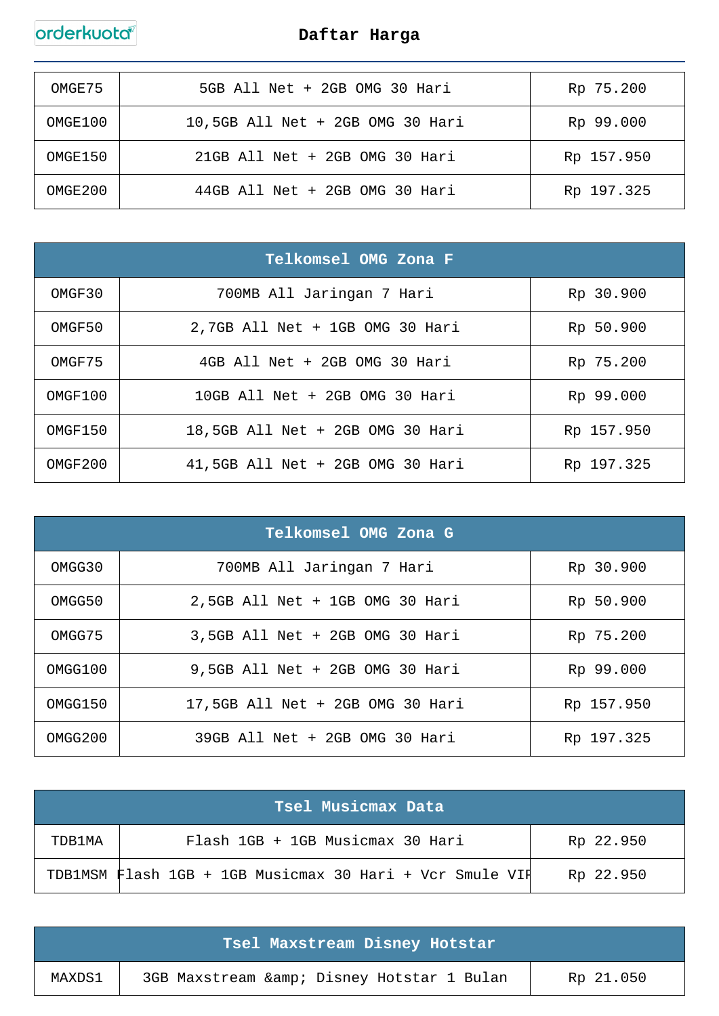

| OMGE75  | 5GB All Net + 2GB OMG 30 Hari    | Rp 75.200  |
|---------|----------------------------------|------------|
| OMGE100 | 10,5GB All Net + 2GB OMG 30 Hari | Rp 99.000  |
| OMGE150 | 21GB All Net + 2GB OMG 30 Hari   | Rp 157.950 |
| OMGE200 | 44GB All Net + 2GB OMG 30 Hari   | Rp 197.325 |

|         | Telkomsel OMG Zona F             |            |
|---------|----------------------------------|------------|
| OMGF30  | 700MB All Jaringan 7 Hari        | Rp 30.900  |
| OMGF50  | 2,7GB All Net + 1GB OMG 30 Hari  | Rp 50.900  |
| OMGF75  | 4GB All Net + 2GB OMG 30 Hari    | Rp 75.200  |
| OMGF100 | 10GB All Net + 2GB OMG 30 Hari   | Rp 99.000  |
| OMGF150 | 18,5GB All Net + 2GB OMG 30 Hari | Rp 157.950 |
| OMGF200 | 41,5GB All Net + 2GB OMG 30 Hari | Rp 197.325 |

| Telkomsel OMG Zona G |                                  |            |  |
|----------------------|----------------------------------|------------|--|
| OMGG30               | 700MB All Jaringan 7 Hari        | Rp 30.900  |  |
| OMGG50               | 2,5GB All Net + 1GB OMG 30 Hari  | Rp 50.900  |  |
| OMGG75               | 3,5GB All Net + 2GB OMG 30 Hari  | Rp 75.200  |  |
| OMGG100              | 9,5GB All Net + 2GB OMG 30 Hari  | Rp 99.000  |  |
| OMGG150              | 17,5GB All Net + 2GB OMG 30 Hari | Rp 157.950 |  |
| OMGG200              | 39GB All Net + 2GB OMG 30 Hari   | Rp 197.325 |  |

| Tsel Musicmax Data |                                                          |           |
|--------------------|----------------------------------------------------------|-----------|
| TDB1MA             | Flash 1GB + 1GB Musicmax 30 Hari                         | Rp 22.950 |
|                    | TDB1MSM Flash 1GB + 1GB Musicmax 30 Hari + Vcr Smule VII | Rp 22.950 |

| Tsel Maxstream Disney Hotstar |                                             |           |
|-------------------------------|---------------------------------------------|-----------|
| MAXDS1                        | 3GB Maxstream & amp; Disney Hotstar 1 Bulan | Rp 21.050 |